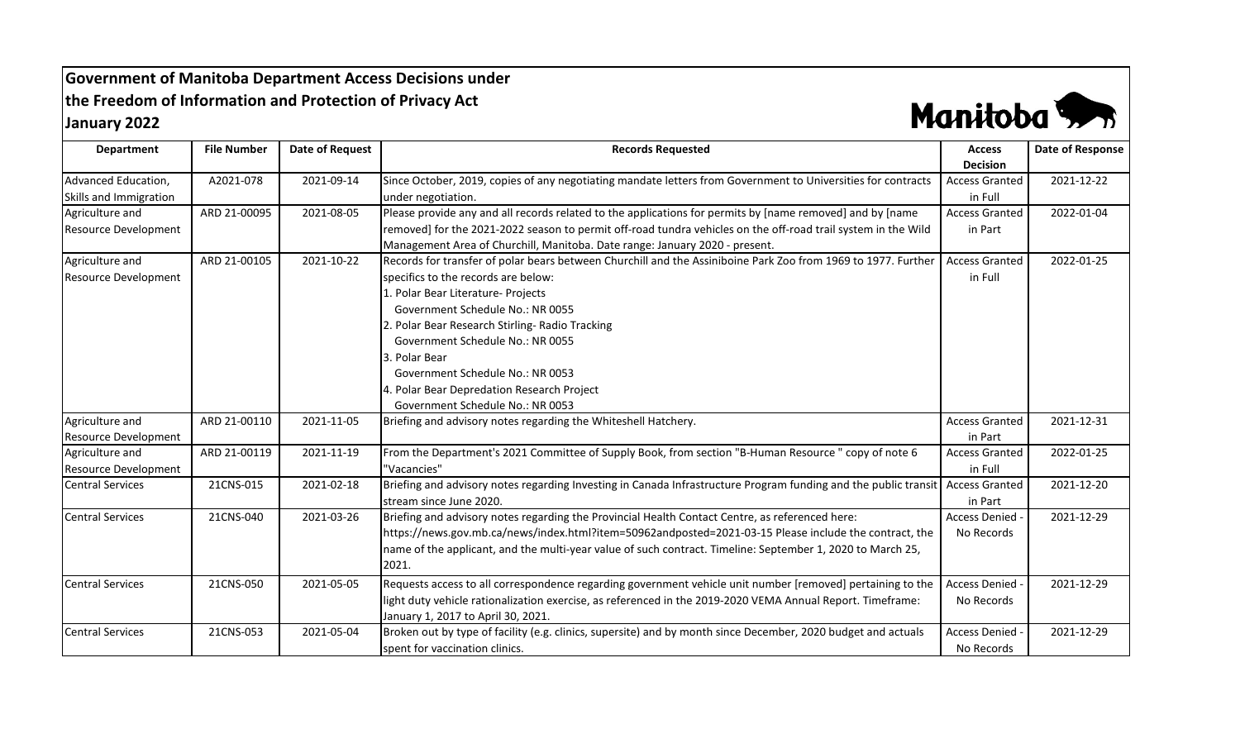## **Government of Manitoba Department Access Decisions under the Freedom of Information and Protection of Privacy Act January 2022**



| Department                  | <b>File Number</b> | <b>Date of Request</b> | <b>Records Requested</b>                                                                                        | <b>Access</b>         | Date of Response |
|-----------------------------|--------------------|------------------------|-----------------------------------------------------------------------------------------------------------------|-----------------------|------------------|
|                             |                    |                        |                                                                                                                 | <b>Decision</b>       |                  |
| Advanced Education,         | A2021-078          | 2021-09-14             | Since October, 2019, copies of any negotiating mandate letters from Government to Universities for contracts    | <b>Access Granted</b> | 2021-12-22       |
| Skills and Immigration      |                    |                        | under negotiation.                                                                                              | in Full               |                  |
| Agriculture and             | ARD 21-00095       | 2021-08-05             | Please provide any and all records related to the applications for permits by [name removed] and by [name       | <b>Access Granted</b> | 2022-01-04       |
| <b>Resource Development</b> |                    |                        | removed] for the 2021-2022 season to permit off-road tundra vehicles on the off-road trail system in the Wild   | in Part               |                  |
|                             |                    |                        | Management Area of Churchill, Manitoba. Date range: January 2020 - present.                                     |                       |                  |
| Agriculture and             | ARD 21-00105       | 2021-10-22             | Records for transfer of polar bears between Churchill and the Assiniboine Park Zoo from 1969 to 1977. Further   | <b>Access Granted</b> | 2022-01-25       |
| <b>Resource Development</b> |                    |                        | specifics to the records are below:                                                                             | in Full               |                  |
|                             |                    |                        | 1. Polar Bear Literature- Projects                                                                              |                       |                  |
|                             |                    |                        | Government Schedule No.: NR 0055                                                                                |                       |                  |
|                             |                    |                        | 2. Polar Bear Research Stirling- Radio Tracking                                                                 |                       |                  |
|                             |                    |                        | Government Schedule No.: NR 0055                                                                                |                       |                  |
|                             |                    |                        | 3. Polar Bear                                                                                                   |                       |                  |
|                             |                    |                        | Government Schedule No.: NR 0053                                                                                |                       |                  |
|                             |                    |                        | 4. Polar Bear Depredation Research Project                                                                      |                       |                  |
|                             |                    |                        | Government Schedule No.: NR 0053                                                                                |                       |                  |
| Agriculture and             | ARD 21-00110       | 2021-11-05             | Briefing and advisory notes regarding the Whiteshell Hatchery.                                                  | <b>Access Granted</b> | 2021-12-31       |
| <b>Resource Development</b> |                    |                        |                                                                                                                 | in Part               |                  |
| Agriculture and             | ARD 21-00119       | 2021-11-19             | From the Department's 2021 Committee of Supply Book, from section "B-Human Resource " copy of note 6            | <b>Access Granted</b> | 2022-01-25       |
| <b>Resource Development</b> |                    |                        | "Vacancies"                                                                                                     | in Full               |                  |
| <b>Central Services</b>     | 21CNS-015          | 2021-02-18             | Briefing and advisory notes regarding Investing in Canada Infrastructure Program funding and the public transit | <b>Access Granted</b> | 2021-12-20       |
|                             |                    |                        | stream since June 2020.                                                                                         | in Part               |                  |
| <b>Central Services</b>     | 21CNS-040          | 2021-03-26             | Briefing and advisory notes regarding the Provincial Health Contact Centre, as referenced here:                 | Access Denied -       | 2021-12-29       |
|                             |                    |                        | https://news.gov.mb.ca/news/index.html?item=50962andposted=2021-03-15 Please include the contract, the          | No Records            |                  |
|                             |                    |                        | name of the applicant, and the multi-year value of such contract. Timeline: September 1, 2020 to March 25,      |                       |                  |
|                             |                    |                        | 2021.                                                                                                           |                       |                  |
| <b>Central Services</b>     | 21CNS-050          | 2021-05-05             | Requests access to all correspondence regarding government vehicle unit number [removed] pertaining to the      | Access Denied -       | 2021-12-29       |
|                             |                    |                        | light duty vehicle rationalization exercise, as referenced in the 2019-2020 VEMA Annual Report. Timeframe:      | No Records            |                  |
|                             |                    |                        | January 1, 2017 to April 30, 2021.                                                                              |                       |                  |
| <b>Central Services</b>     | 21CNS-053          | 2021-05-04             | Broken out by type of facility (e.g. clinics, supersite) and by month since December, 2020 budget and actuals   | Access Denied -       | 2021-12-29       |
|                             |                    |                        | spent for vaccination clinics.                                                                                  | No Records            |                  |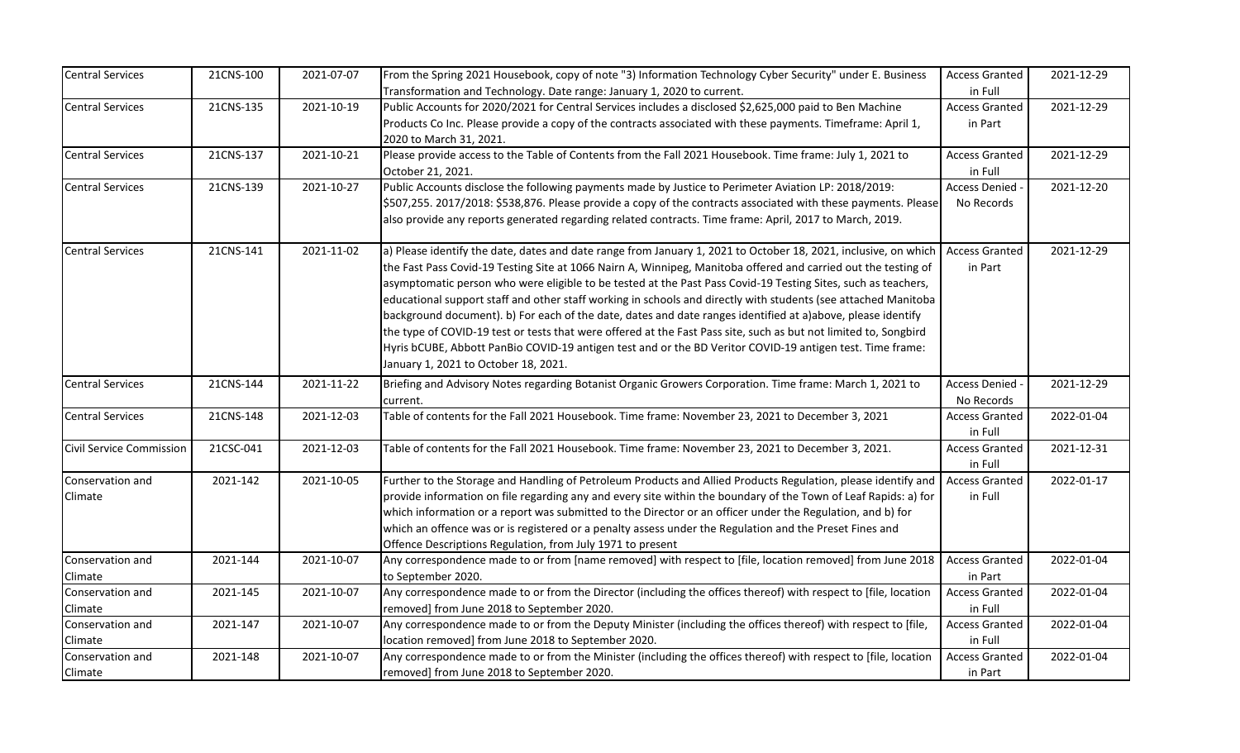| <b>Central Services</b>         | 21CNS-100 | 2021-07-07 | From the Spring 2021 Housebook, copy of note "3) Information Technology Cyber Security" under E. Business        | <b>Access Granted</b> | 2021-12-29 |
|---------------------------------|-----------|------------|------------------------------------------------------------------------------------------------------------------|-----------------------|------------|
|                                 |           |            | Transformation and Technology. Date range: January 1, 2020 to current.                                           | in Full               |            |
| <b>Central Services</b>         | 21CNS-135 | 2021-10-19 | Public Accounts for 2020/2021 for Central Services includes a disclosed \$2,625,000 paid to Ben Machine          | <b>Access Granted</b> | 2021-12-29 |
|                                 |           |            | Products Co Inc. Please provide a copy of the contracts associated with these payments. Timeframe: April 1,      | in Part               |            |
|                                 |           |            | 2020 to March 31, 2021.                                                                                          |                       |            |
| <b>Central Services</b>         | 21CNS-137 | 2021-10-21 | Please provide access to the Table of Contents from the Fall 2021 Housebook. Time frame: July 1, 2021 to         | <b>Access Granted</b> | 2021-12-29 |
|                                 |           |            | October 21, 2021.                                                                                                | in Full               |            |
| <b>Central Services</b>         | 21CNS-139 | 2021-10-27 | Public Accounts disclose the following payments made by Justice to Perimeter Aviation LP: 2018/2019:             | Access Denied -       | 2021-12-20 |
|                                 |           |            | \$507,255. 2017/2018: \$538,876. Please provide a copy of the contracts associated with these payments. Please   | No Records            |            |
|                                 |           |            | also provide any reports generated regarding related contracts. Time frame: April, 2017 to March, 2019.          |                       |            |
| <b>Central Services</b>         | 21CNS-141 | 2021-11-02 | a) Please identify the date, dates and date range from January 1, 2021 to October 18, 2021, inclusive, on which  | <b>Access Granted</b> | 2021-12-29 |
|                                 |           |            | the Fast Pass Covid-19 Testing Site at 1066 Nairn A, Winnipeg, Manitoba offered and carried out the testing of   | in Part               |            |
|                                 |           |            | asymptomatic person who were eligible to be tested at the Past Pass Covid-19 Testing Sites, such as teachers,    |                       |            |
|                                 |           |            | educational support staff and other staff working in schools and directly with students (see attached Manitoba   |                       |            |
|                                 |           |            | background document). b) For each of the date, dates and date ranges identified at a)above, please identify      |                       |            |
|                                 |           |            | the type of COVID-19 test or tests that were offered at the Fast Pass site, such as but not limited to, Songbird |                       |            |
|                                 |           |            | Hyris bCUBE, Abbott PanBio COVID-19 antigen test and or the BD Veritor COVID-19 antigen test. Time frame:        |                       |            |
|                                 |           |            | January 1, 2021 to October 18, 2021.                                                                             |                       |            |
| <b>Central Services</b>         | 21CNS-144 | 2021-11-22 | Briefing and Advisory Notes regarding Botanist Organic Growers Corporation. Time frame: March 1, 2021 to         | Access Denied -       | 2021-12-29 |
|                                 |           |            | current.                                                                                                         | No Records            |            |
| <b>Central Services</b>         | 21CNS-148 | 2021-12-03 | Table of contents for the Fall 2021 Housebook. Time frame: November 23, 2021 to December 3, 2021                 | <b>Access Granted</b> | 2022-01-04 |
|                                 |           |            |                                                                                                                  | in Full               |            |
| <b>Civil Service Commission</b> | 21CSC-041 | 2021-12-03 | Table of contents for the Fall 2021 Housebook. Time frame: November 23, 2021 to December 3, 2021.                | <b>Access Granted</b> | 2021-12-31 |
|                                 |           |            |                                                                                                                  | in Full               |            |
| Conservation and                | 2021-142  | 2021-10-05 | Further to the Storage and Handling of Petroleum Products and Allied Products Regulation, please identify and    | <b>Access Granted</b> | 2022-01-17 |
| Climate                         |           |            | provide information on file regarding any and every site within the boundary of the Town of Leaf Rapids: a) for  | in Full               |            |
|                                 |           |            | which information or a report was submitted to the Director or an officer under the Regulation, and b) for       |                       |            |
|                                 |           |            | which an offence was or is registered or a penalty assess under the Regulation and the Preset Fines and          |                       |            |
|                                 |           |            | Offence Descriptions Regulation, from July 1971 to present                                                       |                       |            |
| Conservation and                | 2021-144  | 2021-10-07 | Any correspondence made to or from [name removed] with respect to [file, location removed] from June 2018        | <b>Access Granted</b> | 2022-01-04 |
| Climate                         |           |            | to September 2020.                                                                                               | in Part               |            |
| Conservation and                | 2021-145  | 2021-10-07 | Any correspondence made to or from the Director (including the offices thereof) with respect to [file, location  | <b>Access Granted</b> | 2022-01-04 |
| Climate                         |           |            | removed] from June 2018 to September 2020.                                                                       | in Full               |            |
| Conservation and                | 2021-147  | 2021-10-07 | Any correspondence made to or from the Deputy Minister (including the offices thereof) with respect to [file,    | <b>Access Granted</b> | 2022-01-04 |
| Climate                         |           |            | location removed] from June 2018 to September 2020.                                                              | in Full               |            |
| Conservation and                | 2021-148  | 2021-10-07 | Any correspondence made to or from the Minister (including the offices thereof) with respect to [file, location  | <b>Access Granted</b> | 2022-01-04 |
| Climate                         |           |            | removed] from June 2018 to September 2020.                                                                       | in Part               |            |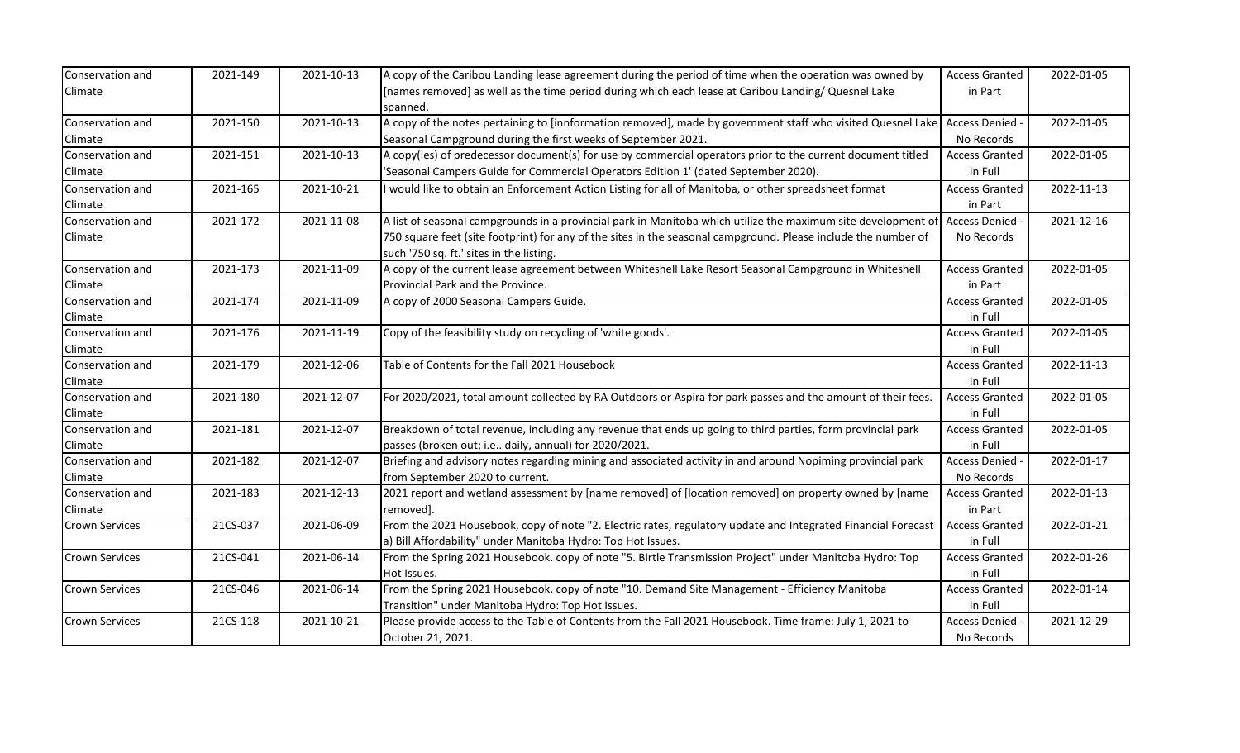| Conservation and      | 2021-149 | 2021-10-13 | A copy of the Caribou Landing lease agreement during the period of time when the operation was owned by                                                    | <b>Access Granted</b> | 2022-01-05 |
|-----------------------|----------|------------|------------------------------------------------------------------------------------------------------------------------------------------------------------|-----------------------|------------|
| Climate               |          |            | [names removed] as well as the time period during which each lease at Caribou Landing/ Quesnel Lake<br>spanned.                                            | in Part               |            |
| Conservation and      | 2021-150 | 2021-10-13 | A copy of the notes pertaining to [innformation removed], made by government staff who visited Quesnel Lake                                                | Access Denied -       | 2022-01-05 |
| Climate               |          |            | Seasonal Campground during the first weeks of September 2021.                                                                                              | No Records            |            |
| Conservation and      | 2021-151 | 2021-10-13 | A copy(ies) of predecessor document(s) for use by commercial operators prior to the current document titled                                                | <b>Access Granted</b> | 2022-01-05 |
| Climate               |          |            | 'Seasonal Campers Guide for Commercial Operators Edition 1' (dated September 2020).                                                                        | in Full               |            |
| Conservation and      | 2021-165 | 2021-10-21 | would like to obtain an Enforcement Action Listing for all of Manitoba, or other spreadsheet format                                                        | <b>Access Granted</b> | 2022-11-13 |
| Climate               |          |            |                                                                                                                                                            | in Part               |            |
| Conservation and      | 2021-172 | 2021-11-08 | A list of seasonal campgrounds in a provincial park in Manitoba which utilize the maximum site development of                                              | Access Denied -       | 2021-12-16 |
| Climate               |          |            | 750 square feet (site footprint) for any of the sites in the seasonal campground. Please include the number of<br>such '750 sq. ft.' sites in the listing. | No Records            |            |
| Conservation and      | 2021-173 | 2021-11-09 | A copy of the current lease agreement between Whiteshell Lake Resort Seasonal Campground in Whiteshell                                                     | <b>Access Granted</b> | 2022-01-05 |
| Climate               |          |            | Provincial Park and the Province.                                                                                                                          | in Part               |            |
| Conservation and      | 2021-174 | 2021-11-09 | A copy of 2000 Seasonal Campers Guide.                                                                                                                     | <b>Access Granted</b> | 2022-01-05 |
| Climate               |          |            |                                                                                                                                                            | in Full               |            |
| Conservation and      | 2021-176 | 2021-11-19 | Copy of the feasibility study on recycling of 'white goods'.                                                                                               | <b>Access Granted</b> | 2022-01-05 |
| Climate               |          |            |                                                                                                                                                            | in Full               |            |
| Conservation and      | 2021-179 | 2021-12-06 | Table of Contents for the Fall 2021 Housebook                                                                                                              | <b>Access Granted</b> | 2022-11-13 |
| Climate               |          |            |                                                                                                                                                            | in Full               |            |
| Conservation and      | 2021-180 | 2021-12-07 | For 2020/2021, total amount collected by RA Outdoors or Aspira for park passes and the amount of their fees.                                               | <b>Access Granted</b> | 2022-01-05 |
| Climate               |          |            |                                                                                                                                                            | in Full               |            |
| Conservation and      | 2021-181 | 2021-12-07 | Breakdown of total revenue, including any revenue that ends up going to third parties, form provincial park                                                | <b>Access Granted</b> | 2022-01-05 |
| Climate               |          |            | passes (broken out; i.e daily, annual) for 2020/2021.                                                                                                      | in Full               |            |
| Conservation and      | 2021-182 | 2021-12-07 | Briefing and advisory notes regarding mining and associated activity in and around Nopiming provincial park                                                | Access Denied -       | 2022-01-17 |
| Climate               |          |            | from September 2020 to current.                                                                                                                            | No Records            |            |
| Conservation and      | 2021-183 | 2021-12-13 | 2021 report and wetland assessment by [name removed] of [location removed] on property owned by [name                                                      | <b>Access Granted</b> | 2022-01-13 |
| Climate               |          |            | removed].                                                                                                                                                  | in Part               |            |
| <b>Crown Services</b> | 21CS-037 | 2021-06-09 | From the 2021 Housebook, copy of note "2. Electric rates, regulatory update and Integrated Financial Forecast                                              | <b>Access Granted</b> | 2022-01-21 |
|                       |          |            | a) Bill Affordability" under Manitoba Hydro: Top Hot Issues.                                                                                               | in Full               |            |
| <b>Crown Services</b> | 21CS-041 | 2021-06-14 | From the Spring 2021 Housebook. copy of note "5. Birtle Transmission Project" under Manitoba Hydro: Top                                                    | <b>Access Granted</b> | 2022-01-26 |
|                       |          |            | Hot Issues.                                                                                                                                                | in Full               |            |
| <b>Crown Services</b> | 21CS-046 | 2021-06-14 | From the Spring 2021 Housebook, copy of note "10. Demand Site Management - Efficiency Manitoba                                                             | <b>Access Granted</b> | 2022-01-14 |
|                       |          |            | Transition" under Manitoba Hydro: Top Hot Issues.                                                                                                          | in Full               |            |
| <b>Crown Services</b> | 21CS-118 | 2021-10-21 | Please provide access to the Table of Contents from the Fall 2021 Housebook. Time frame: July 1, 2021 to                                                   | Access Denied -       | 2021-12-29 |
|                       |          |            | October 21, 2021.                                                                                                                                          | No Records            |            |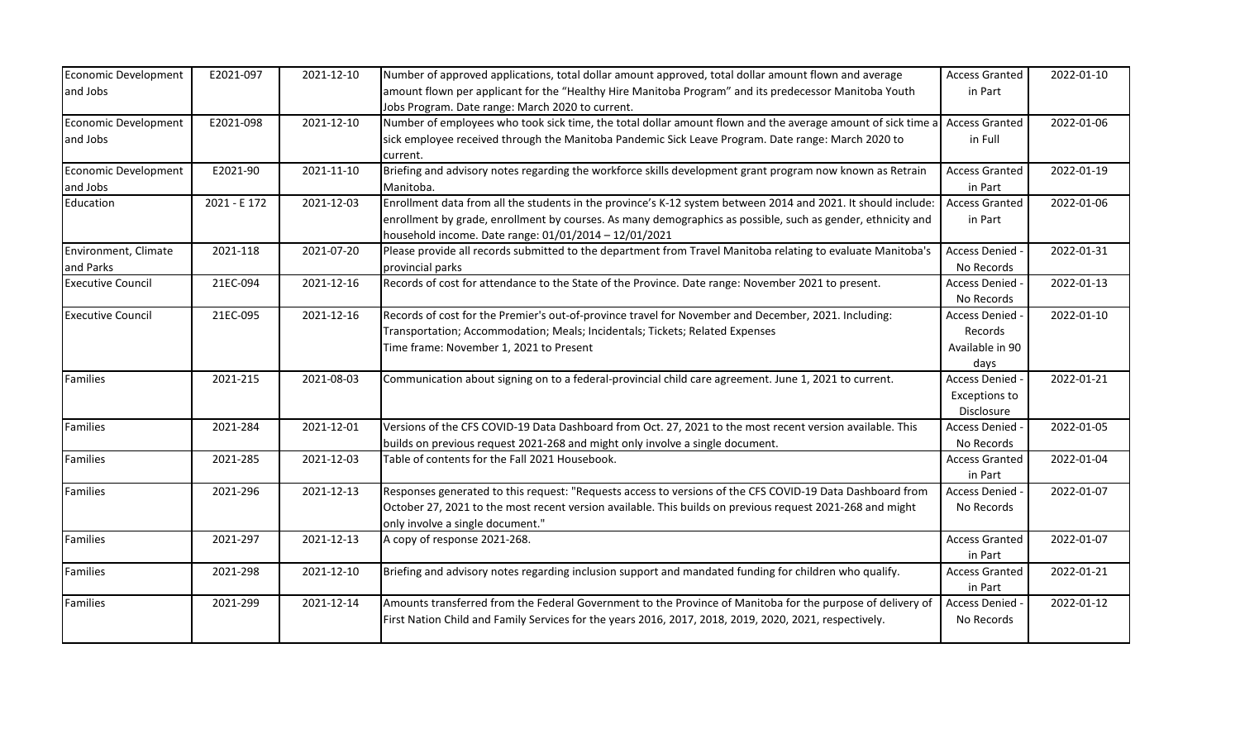| Economic Development     | E2021-097    | 2021-12-10 | Number of approved applications, total dollar amount approved, total dollar amount flown and average          | <b>Access Granted</b> | 2022-01-10 |
|--------------------------|--------------|------------|---------------------------------------------------------------------------------------------------------------|-----------------------|------------|
| and Jobs                 |              |            | amount flown per applicant for the "Healthy Hire Manitoba Program" and its predecessor Manitoba Youth         | in Part               |            |
|                          |              |            | Jobs Program. Date range: March 2020 to current.                                                              |                       |            |
| Economic Development     | E2021-098    | 2021-12-10 | Number of employees who took sick time, the total dollar amount flown and the average amount of sick time a   | <b>Access Granted</b> | 2022-01-06 |
| and Jobs                 |              |            | sick employee received through the Manitoba Pandemic Sick Leave Program. Date range: March 2020 to            | in Full               |            |
|                          |              |            | current.                                                                                                      |                       |            |
| Economic Development     | E2021-90     | 2021-11-10 | Briefing and advisory notes regarding the workforce skills development grant program now known as Retrain     | <b>Access Granted</b> | 2022-01-19 |
| and Jobs                 |              |            | Manitoba.                                                                                                     | in Part               |            |
| Education                | 2021 - E 172 | 2021-12-03 | Enrollment data from all the students in the province's K-12 system between 2014 and 2021. It should include: | <b>Access Granted</b> | 2022-01-06 |
|                          |              |            | enrollment by grade, enrollment by courses. As many demographics as possible, such as gender, ethnicity and   | in Part               |            |
|                          |              |            | household income. Date range: 01/01/2014 - 12/01/2021                                                         |                       |            |
| Environment, Climate     | 2021-118     | 2021-07-20 | Please provide all records submitted to the department from Travel Manitoba relating to evaluate Manitoba's   | Access Denied -       | 2022-01-31 |
| and Parks                |              |            | provincial parks                                                                                              | No Records            |            |
| <b>Executive Council</b> | 21EC-094     | 2021-12-16 | Records of cost for attendance to the State of the Province. Date range: November 2021 to present.            | Access Denied -       | 2022-01-13 |
|                          |              |            |                                                                                                               | No Records            |            |
| <b>Executive Council</b> | 21EC-095     | 2021-12-16 | Records of cost for the Premier's out-of-province travel for November and December, 2021. Including:          | Access Denied -       | 2022-01-10 |
|                          |              |            | Transportation; Accommodation; Meals; Incidentals; Tickets; Related Expenses                                  | Records               |            |
|                          |              |            | Time frame: November 1, 2021 to Present                                                                       | Available in 90       |            |
|                          |              |            |                                                                                                               | days                  |            |
| <b>Families</b>          | 2021-215     | 2021-08-03 | Communication about signing on to a federal-provincial child care agreement. June 1, 2021 to current.         | <b>Access Denied</b>  | 2022-01-21 |
|                          |              |            |                                                                                                               | Exceptions to         |            |
|                          |              |            |                                                                                                               | Disclosure            |            |
| <b>Families</b>          | 2021-284     | 2021-12-01 | Versions of the CFS COVID-19 Data Dashboard from Oct. 27, 2021 to the most recent version available. This     | Access Denied -       | 2022-01-05 |
|                          |              |            | builds on previous request 2021-268 and might only involve a single document.                                 | No Records            |            |
| Families                 | 2021-285     | 2021-12-03 | Table of contents for the Fall 2021 Housebook.                                                                | <b>Access Granted</b> | 2022-01-04 |
|                          |              |            |                                                                                                               | in Part               |            |
| <b>Families</b>          | 2021-296     | 2021-12-13 | Responses generated to this request: "Requests access to versions of the CFS COVID-19 Data Dashboard from     | Access Denied -       | 2022-01-07 |
|                          |              |            | October 27, 2021 to the most recent version available. This builds on previous request 2021-268 and might     | No Records            |            |
|                          |              |            | only involve a single document."                                                                              |                       |            |
| Families                 | 2021-297     | 2021-12-13 | A copy of response 2021-268.                                                                                  | <b>Access Granted</b> | 2022-01-07 |
|                          |              |            |                                                                                                               | in Part               |            |
| <b>Families</b>          | 2021-298     | 2021-12-10 | Briefing and advisory notes regarding inclusion support and mandated funding for children who qualify.        | <b>Access Granted</b> | 2022-01-21 |
|                          |              |            |                                                                                                               | in Part               |            |
| Families                 | 2021-299     | 2021-12-14 | Amounts transferred from the Federal Government to the Province of Manitoba for the purpose of delivery of    | Access Denied -       | 2022-01-12 |
|                          |              |            | First Nation Child and Family Services for the years 2016, 2017, 2018, 2019, 2020, 2021, respectively.        | No Records            |            |
|                          |              |            |                                                                                                               |                       |            |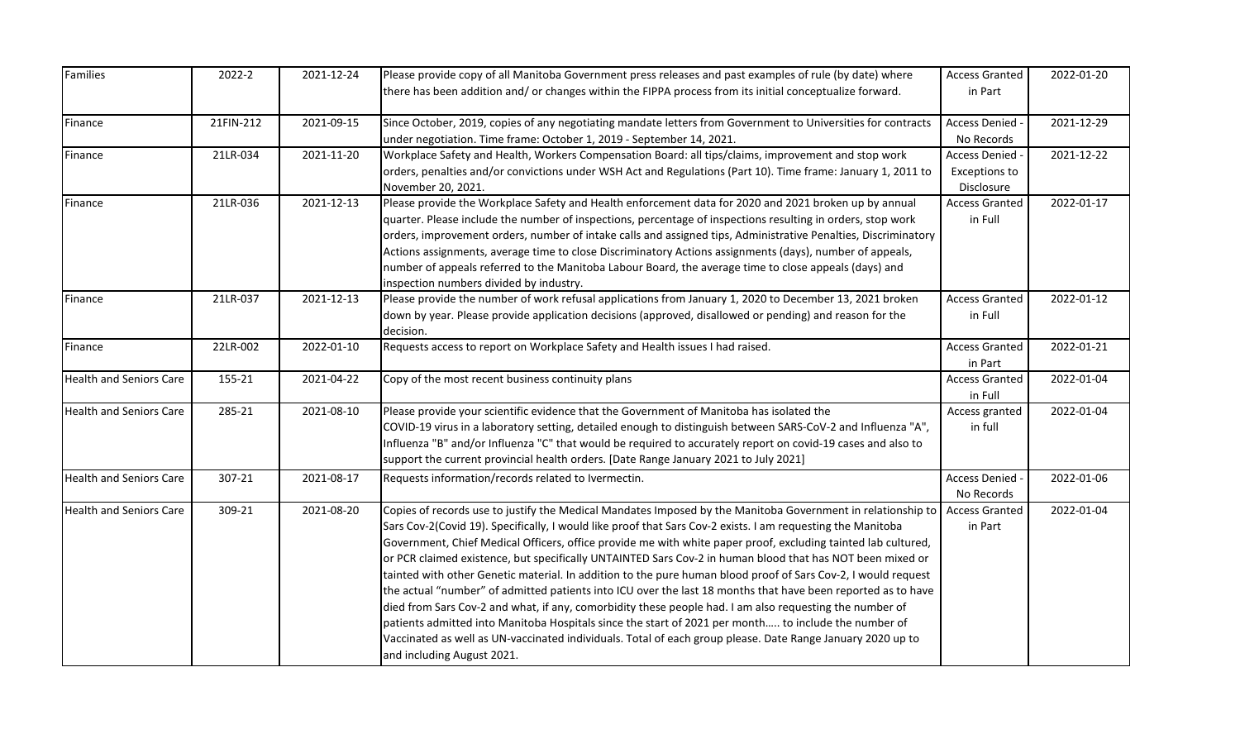| Families                       | 2022-2    | 2021-12-24 | Please provide copy of all Manitoba Government press releases and past examples of rule (by date) where        | <b>Access Granted</b> | 2022-01-20 |
|--------------------------------|-----------|------------|----------------------------------------------------------------------------------------------------------------|-----------------------|------------|
|                                |           |            | there has been addition and/ or changes within the FIPPA process from its initial conceptualize forward.       | in Part               |            |
| Finance                        | 21FIN-212 | 2021-09-15 | Since October, 2019, copies of any negotiating mandate letters from Government to Universities for contracts   | <b>Access Denied</b>  | 2021-12-29 |
|                                |           |            | under negotiation. Time frame: October 1, 2019 - September 14, 2021.                                           | No Records            |            |
| Finance                        | 21LR-034  | 2021-11-20 | Workplace Safety and Health, Workers Compensation Board: all tips/claims, improvement and stop work            | <b>Access Denied</b>  | 2021-12-22 |
|                                |           |            | orders, penalties and/or convictions under WSH Act and Regulations (Part 10). Time frame: January 1, 2011 to   | Exceptions to         |            |
|                                |           |            | November 20, 2021.                                                                                             | Disclosure            |            |
| Finance                        | 21LR-036  | 2021-12-13 | Please provide the Workplace Safety and Health enforcement data for 2020 and 2021 broken up by annual          | <b>Access Granted</b> | 2022-01-17 |
|                                |           |            | quarter. Please include the number of inspections, percentage of inspections resulting in orders, stop work    | in Full               |            |
|                                |           |            | orders, improvement orders, number of intake calls and assigned tips, Administrative Penalties, Discriminatory |                       |            |
|                                |           |            | Actions assignments, average time to close Discriminatory Actions assignments (days), number of appeals,       |                       |            |
|                                |           |            | number of appeals referred to the Manitoba Labour Board, the average time to close appeals (days) and          |                       |            |
|                                |           |            | inspection numbers divided by industry.                                                                        |                       |            |
| Finance                        | 21LR-037  | 2021-12-13 | Please provide the number of work refusal applications from January 1, 2020 to December 13, 2021 broken        | <b>Access Granted</b> | 2022-01-12 |
|                                |           |            | down by year. Please provide application decisions (approved, disallowed or pending) and reason for the        | in Full               |            |
|                                |           |            | decision.                                                                                                      |                       |            |
| Finance                        | 22LR-002  | 2022-01-10 | Requests access to report on Workplace Safety and Health issues I had raised.                                  | <b>Access Granted</b> | 2022-01-21 |
|                                |           |            |                                                                                                                | in Part               |            |
| <b>Health and Seniors Care</b> | 155-21    | 2021-04-22 | Copy of the most recent business continuity plans                                                              | <b>Access Granted</b> | 2022-01-04 |
|                                |           |            |                                                                                                                | in Full               |            |
| <b>Health and Seniors Care</b> | 285-21    | 2021-08-10 | Please provide your scientific evidence that the Government of Manitoba has isolated the                       | Access granted        | 2022-01-04 |
|                                |           |            | COVID-19 virus in a laboratory setting, detailed enough to distinguish between SARS-CoV-2 and Influenza "A",   | in full               |            |
|                                |           |            | Influenza "B" and/or Influenza "C" that would be required to accurately report on covid-19 cases and also to   |                       |            |
|                                |           |            | support the current provincial health orders. [Date Range January 2021 to July 2021]                           |                       |            |
| <b>Health and Seniors Care</b> | 307-21    | 2021-08-17 | Requests information/records related to Ivermectin.                                                            | <b>Access Denied</b>  | 2022-01-06 |
|                                |           |            |                                                                                                                | No Records            |            |
| <b>Health and Seniors Care</b> | 309-21    | 2021-08-20 | Copies of records use to justify the Medical Mandates Imposed by the Manitoba Government in relationship to    | <b>Access Granted</b> | 2022-01-04 |
|                                |           |            | Sars Cov-2(Covid 19). Specifically, I would like proof that Sars Cov-2 exists. I am requesting the Manitoba    | in Part               |            |
|                                |           |            | Government, Chief Medical Officers, office provide me with white paper proof, excluding tainted lab cultured,  |                       |            |
|                                |           |            | or PCR claimed existence, but specifically UNTAINTED Sars Cov-2 in human blood that has NOT been mixed or      |                       |            |
|                                |           |            | tainted with other Genetic material. In addition to the pure human blood proof of Sars Cov-2, I would request  |                       |            |
|                                |           |            | the actual "number" of admitted patients into ICU over the last 18 months that have been reported as to have   |                       |            |
|                                |           |            | died from Sars Cov-2 and what, if any, comorbidity these people had. I am also requesting the number of        |                       |            |
|                                |           |            | patients admitted into Manitoba Hospitals since the start of 2021 per month to include the number of           |                       |            |
|                                |           |            | Vaccinated as well as UN-vaccinated individuals. Total of each group please. Date Range January 2020 up to     |                       |            |
|                                |           |            | and including August 2021.                                                                                     |                       |            |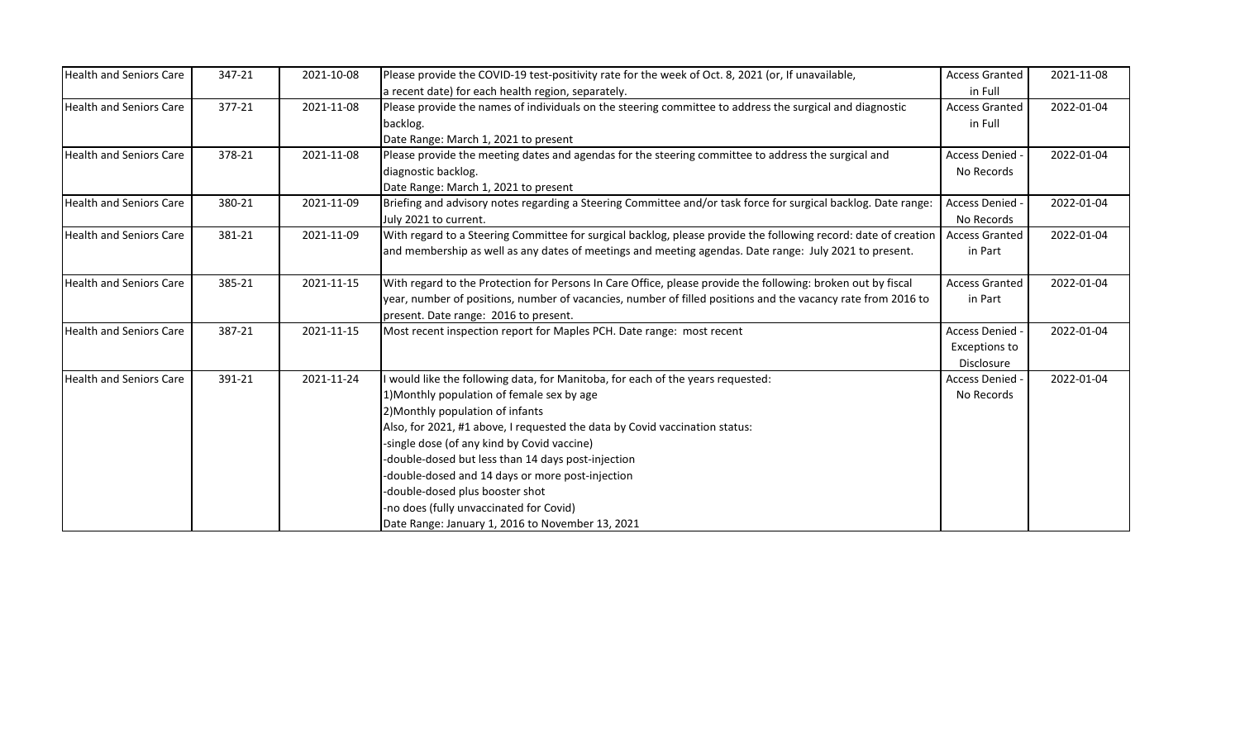| <b>Health and Seniors Care</b> | 347-21 | 2021-10-08 | Please provide the COVID-19 test-positivity rate for the week of Oct. 8, 2021 (or, If unavailable,              | <b>Access Granted</b> | 2021-11-08 |
|--------------------------------|--------|------------|-----------------------------------------------------------------------------------------------------------------|-----------------------|------------|
|                                |        |            | a recent date) for each health region, separately.                                                              | in Full               |            |
| <b>Health and Seniors Care</b> | 377-21 | 2021-11-08 | Please provide the names of individuals on the steering committee to address the surgical and diagnostic        | <b>Access Granted</b> | 2022-01-04 |
|                                |        |            | backlog.                                                                                                        | in Full               |            |
|                                |        |            | Date Range: March 1, 2021 to present                                                                            |                       |            |
| <b>Health and Seniors Care</b> | 378-21 | 2021-11-08 | Please provide the meeting dates and agendas for the steering committee to address the surgical and             | Access Denied         | 2022-01-04 |
|                                |        |            | diagnostic backlog.                                                                                             | No Records            |            |
|                                |        |            | Date Range: March 1, 2021 to present                                                                            |                       |            |
| <b>Health and Seniors Care</b> | 380-21 | 2021-11-09 | Briefing and advisory notes regarding a Steering Committee and/or task force for surgical backlog. Date range:  | <b>Access Denied</b>  | 2022-01-04 |
|                                |        |            | July 2021 to current.                                                                                           | No Records            |            |
| <b>Health and Seniors Care</b> | 381-21 | 2021-11-09 | With regard to a Steering Committee for surgical backlog, please provide the following record: date of creation | <b>Access Granted</b> | 2022-01-04 |
|                                |        |            | and membership as well as any dates of meetings and meeting agendas. Date range: July 2021 to present.          | in Part               |            |
| <b>Health and Seniors Care</b> | 385-21 | 2021-11-15 | With regard to the Protection for Persons In Care Office, please provide the following: broken out by fiscal    | <b>Access Granted</b> | 2022-01-04 |
|                                |        |            | year, number of positions, number of vacancies, number of filled positions and the vacancy rate from 2016 to    | in Part               |            |
|                                |        |            | present. Date range: 2016 to present.                                                                           |                       |            |
| <b>Health and Seniors Care</b> | 387-21 | 2021-11-15 | Most recent inspection report for Maples PCH. Date range: most recent                                           | Access Denied         | 2022-01-04 |
|                                |        |            |                                                                                                                 | Exceptions to         |            |
|                                |        |            |                                                                                                                 | Disclosure            |            |
| <b>Health and Seniors Care</b> | 391-21 | 2021-11-24 | would like the following data, for Manitoba, for each of the years requested:                                   | Access Denied         | 2022-01-04 |
|                                |        |            | 1) Monthly population of female sex by age                                                                      | No Records            |            |
|                                |        |            | 2) Monthly population of infants                                                                                |                       |            |
|                                |        |            | Also, for 2021, #1 above, I requested the data by Covid vaccination status:                                     |                       |            |
|                                |        |            | -single dose (of any kind by Covid vaccine)                                                                     |                       |            |
|                                |        |            | -double-dosed but less than 14 days post-injection                                                              |                       |            |
|                                |        |            | -double-dosed and 14 days or more post-injection                                                                |                       |            |
|                                |        |            | -double-dosed plus booster shot                                                                                 |                       |            |
|                                |        |            | -no does (fully unvaccinated for Covid)                                                                         |                       |            |
|                                |        |            | Date Range: January 1, 2016 to November 13, 2021                                                                |                       |            |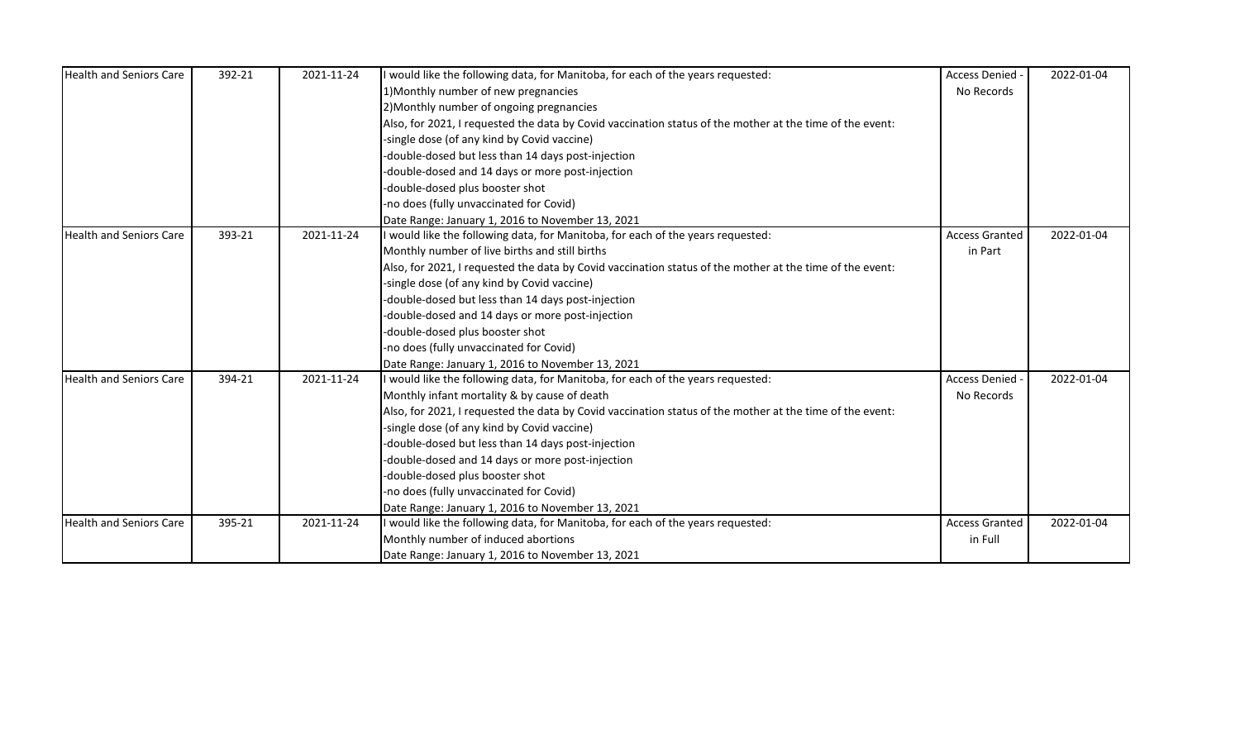| <b>Health and Seniors Care</b> | 392-21 | 2021-11-24 | would like the following data, for Manitoba, for each of the years requested:                            | Access Denied -       | 2022-01-04 |
|--------------------------------|--------|------------|----------------------------------------------------------------------------------------------------------|-----------------------|------------|
|                                |        |            | 1) Monthly number of new pregnancies                                                                     | No Records            |            |
|                                |        |            | 2) Monthly number of ongoing pregnancies                                                                 |                       |            |
|                                |        |            | Also, for 2021, I requested the data by Covid vaccination status of the mother at the time of the event: |                       |            |
|                                |        |            | -single dose (of any kind by Covid vaccine)                                                              |                       |            |
|                                |        |            | -double-dosed but less than 14 days post-injection                                                       |                       |            |
|                                |        |            | -double-dosed and 14 days or more post-injection                                                         |                       |            |
|                                |        |            | -double-dosed plus booster shot                                                                          |                       |            |
|                                |        |            | -no does (fully unvaccinated for Covid)                                                                  |                       |            |
|                                |        |            | Date Range: January 1, 2016 to November 13, 2021                                                         |                       |            |
| <b>Health and Seniors Care</b> | 393-21 | 2021-11-24 | I would like the following data, for Manitoba, for each of the years requested:                          | <b>Access Granted</b> | 2022-01-04 |
|                                |        |            | Monthly number of live births and still births                                                           | in Part               |            |
|                                |        |            | Also, for 2021, I requested the data by Covid vaccination status of the mother at the time of the event: |                       |            |
|                                |        |            | -single dose (of any kind by Covid vaccine)                                                              |                       |            |
|                                |        |            | double-dosed but less than 14 days post-injection                                                        |                       |            |
|                                |        |            | -double-dosed and 14 days or more post-injection                                                         |                       |            |
|                                |        |            | -double-dosed plus booster shot                                                                          |                       |            |
|                                |        |            | -no does (fully unvaccinated for Covid)                                                                  |                       |            |
|                                |        |            | Date Range: January 1, 2016 to November 13, 2021                                                         |                       |            |
| <b>Health and Seniors Care</b> | 394-21 | 2021-11-24 | would like the following data, for Manitoba, for each of the years requested:                            | Access Denied -       | 2022-01-04 |
|                                |        |            | Monthly infant mortality & by cause of death                                                             | No Records            |            |
|                                |        |            | Also, for 2021, I requested the data by Covid vaccination status of the mother at the time of the event: |                       |            |
|                                |        |            | -single dose (of any kind by Covid vaccine)                                                              |                       |            |
|                                |        |            | -double-dosed but less than 14 days post-injection                                                       |                       |            |
|                                |        |            | -double-dosed and 14 days or more post-injection                                                         |                       |            |
|                                |        |            | -double-dosed plus booster shot                                                                          |                       |            |
|                                |        |            | -no does (fully unvaccinated for Covid)                                                                  |                       |            |
|                                |        |            | Date Range: January 1, 2016 to November 13, 2021                                                         |                       |            |
| <b>Health and Seniors Care</b> | 395-21 | 2021-11-24 | I would like the following data, for Manitoba, for each of the years requested:                          | <b>Access Granted</b> | 2022-01-04 |
|                                |        |            | Monthly number of induced abortions                                                                      | in Full               |            |
|                                |        |            | Date Range: January 1, 2016 to November 13, 2021                                                         |                       |            |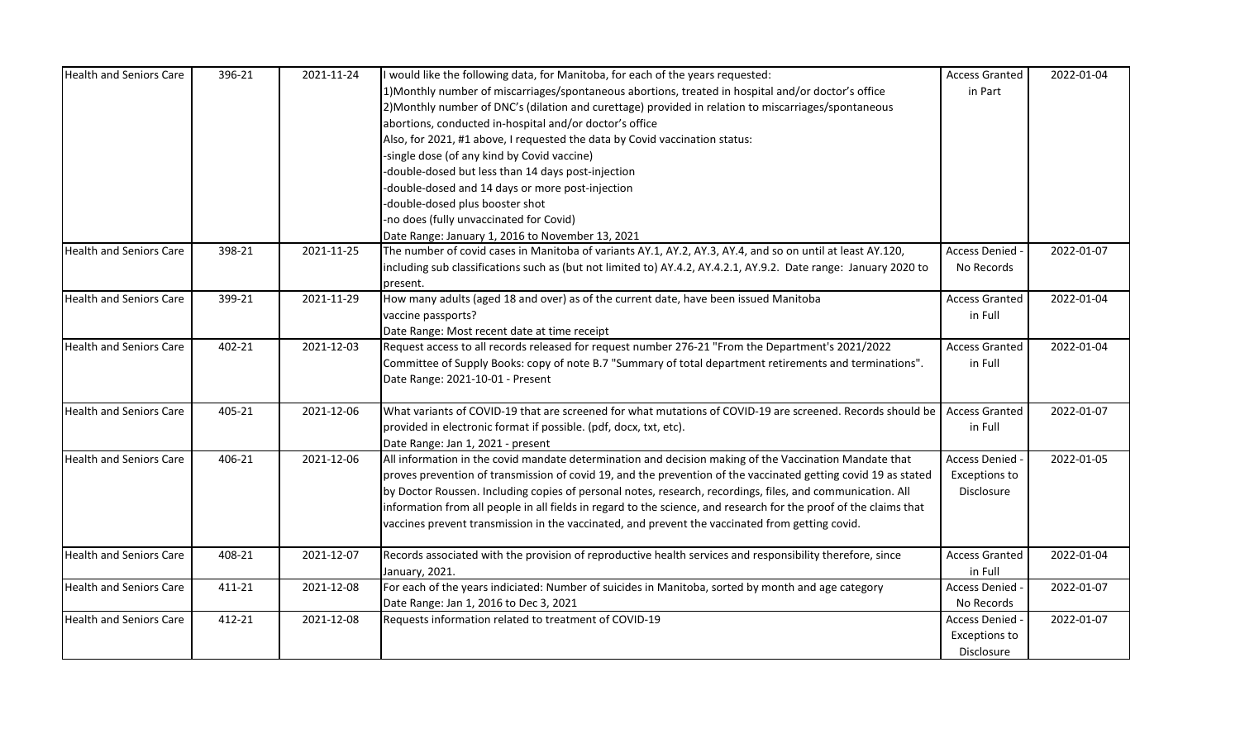| <b>Health and Seniors Care</b> | 396-21 | 2021-11-24 | I would like the following data, for Manitoba, for each of the years requested:                                   | <b>Access Granted</b> | 2022-01-04 |
|--------------------------------|--------|------------|-------------------------------------------------------------------------------------------------------------------|-----------------------|------------|
|                                |        |            | 1) Monthly number of miscarriages/spontaneous abortions, treated in hospital and/or doctor's office               | in Part               |            |
|                                |        |            | 2) Monthly number of DNC's (dilation and curettage) provided in relation to miscarriages/spontaneous              |                       |            |
|                                |        |            | abortions, conducted in-hospital and/or doctor's office                                                           |                       |            |
|                                |        |            | Also, for 2021, #1 above, I requested the data by Covid vaccination status:                                       |                       |            |
|                                |        |            | -single dose (of any kind by Covid vaccine)                                                                       |                       |            |
|                                |        |            | -double-dosed but less than 14 days post-injection                                                                |                       |            |
|                                |        |            | -double-dosed and 14 days or more post-injection                                                                  |                       |            |
|                                |        |            | -double-dosed plus booster shot                                                                                   |                       |            |
|                                |        |            | -no does (fully unvaccinated for Covid)                                                                           |                       |            |
|                                |        |            | Date Range: January 1, 2016 to November 13, 2021                                                                  |                       |            |
| <b>Health and Seniors Care</b> | 398-21 | 2021-11-25 | The number of covid cases in Manitoba of variants AY.1, AY.2, AY.3, AY.4, and so on until at least AY.120,        | Access Denied -       | 2022-01-07 |
|                                |        |            | including sub classifications such as (but not limited to) AY.4.2, AY.4.2.1, AY.9.2. Date range: January 2020 to  | No Records            |            |
|                                |        |            | present.                                                                                                          |                       |            |
| <b>Health and Seniors Care</b> | 399-21 | 2021-11-29 | How many adults (aged 18 and over) as of the current date, have been issued Manitoba                              | <b>Access Granted</b> | 2022-01-04 |
|                                |        |            | vaccine passports?                                                                                                | in Full               |            |
|                                |        |            | Date Range: Most recent date at time receipt                                                                      |                       |            |
| <b>Health and Seniors Care</b> | 402-21 | 2021-12-03 | Request access to all records released for request number 276-21 "From the Department's 2021/2022                 | <b>Access Granted</b> | 2022-01-04 |
|                                |        |            | Committee of Supply Books: copy of note B.7 "Summary of total department retirements and terminations".           | in Full               |            |
|                                |        |            | Date Range: 2021-10-01 - Present                                                                                  |                       |            |
| <b>Health and Seniors Care</b> | 405-21 | 2021-12-06 | What variants of COVID-19 that are screened for what mutations of COVID-19 are screened. Records should be        | <b>Access Granted</b> | 2022-01-07 |
|                                |        |            | provided in electronic format if possible. (pdf, docx, txt, etc).                                                 | in Full               |            |
|                                |        |            | Date Range: Jan 1, 2021 - present                                                                                 |                       |            |
| <b>Health and Seniors Care</b> | 406-21 | 2021-12-06 | All information in the covid mandate determination and decision making of the Vaccination Mandate that            | Access Denied -       | 2022-01-05 |
|                                |        |            | proves prevention of transmission of covid 19, and the prevention of the vaccinated getting covid 19 as stated    | <b>Exceptions to</b>  |            |
|                                |        |            | by Doctor Roussen. Including copies of personal notes, research, recordings, files, and communication. All        | Disclosure            |            |
|                                |        |            | information from all people in all fields in regard to the science, and research for the proof of the claims that |                       |            |
|                                |        |            | vaccines prevent transmission in the vaccinated, and prevent the vaccinated from getting covid.                   |                       |            |
| <b>Health and Seniors Care</b> | 408-21 | 2021-12-07 | Records associated with the provision of reproductive health services and responsibility therefore, since         | <b>Access Granted</b> | 2022-01-04 |
|                                |        |            | January, 2021.                                                                                                    | in Full               |            |
| <b>Health and Seniors Care</b> | 411-21 | 2021-12-08 | For each of the years indiciated: Number of suicides in Manitoba, sorted by month and age category                | Access Denied -       | 2022-01-07 |
|                                |        |            | Date Range: Jan 1, 2016 to Dec 3, 2021                                                                            | No Records            |            |
| <b>Health and Seniors Care</b> | 412-21 | 2021-12-08 | Requests information related to treatment of COVID-19                                                             | Access Denied -       | 2022-01-07 |
|                                |        |            |                                                                                                                   | <b>Exceptions to</b>  |            |
|                                |        |            |                                                                                                                   | Disclosure            |            |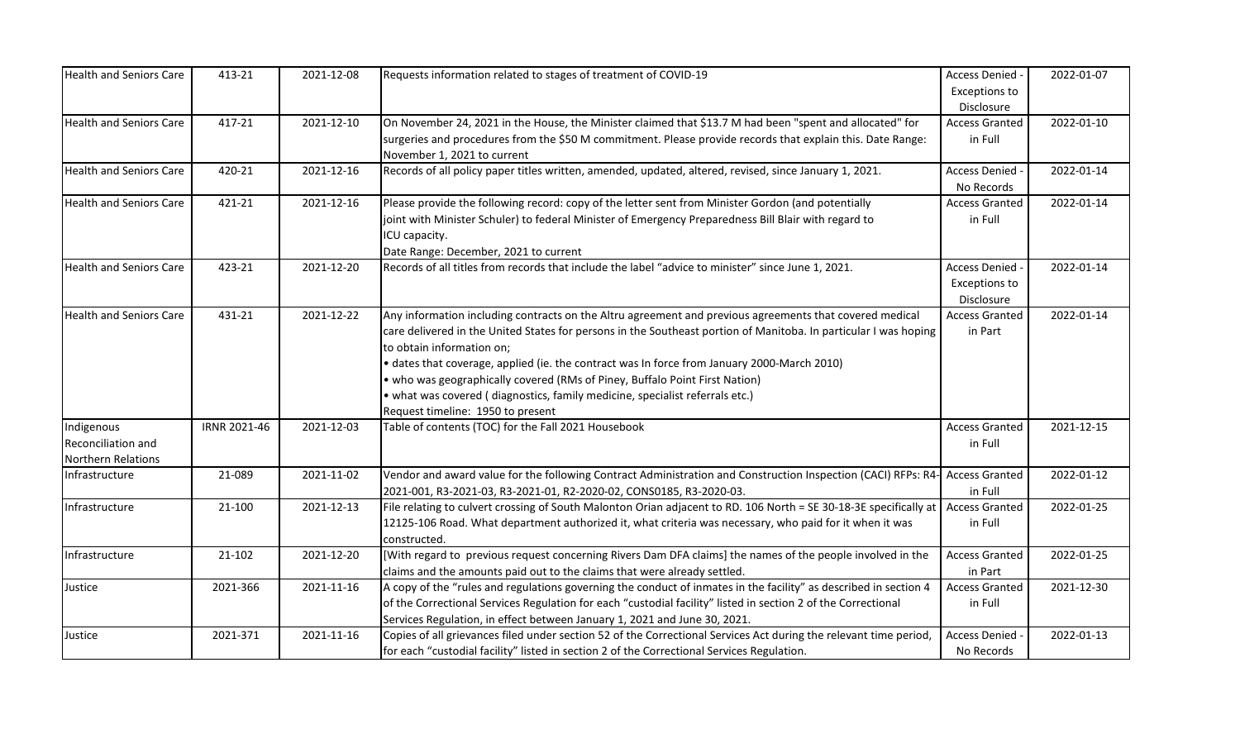| <b>Health and Seniors Care</b> | 413-21       | 2021-12-08 | Requests information related to stages of treatment of COVID-19                                                   | Access Denied -       | 2022-01-07 |
|--------------------------------|--------------|------------|-------------------------------------------------------------------------------------------------------------------|-----------------------|------------|
|                                |              |            |                                                                                                                   | <b>Exceptions to</b>  |            |
|                                |              |            |                                                                                                                   | Disclosure            |            |
| <b>Health and Seniors Care</b> | 417-21       | 2021-12-10 | On November 24, 2021 in the House, the Minister claimed that \$13.7 M had been "spent and allocated" for          | <b>Access Granted</b> | 2022-01-10 |
|                                |              |            | surgeries and procedures from the \$50 M commitment. Please provide records that explain this. Date Range:        | in Full               |            |
|                                |              |            | November 1, 2021 to current                                                                                       |                       |            |
| <b>Health and Seniors Care</b> | 420-21       | 2021-12-16 | Records of all policy paper titles written, amended, updated, altered, revised, since January 1, 2021.            | Access Denied         | 2022-01-14 |
|                                |              |            |                                                                                                                   | No Records            |            |
| <b>Health and Seniors Care</b> | 421-21       | 2021-12-16 | Please provide the following record: copy of the letter sent from Minister Gordon (and potentially                | <b>Access Granted</b> | 2022-01-14 |
|                                |              |            | joint with Minister Schuler) to federal Minister of Emergency Preparedness Bill Blair with regard to              | in Full               |            |
|                                |              |            | ICU capacity.                                                                                                     |                       |            |
|                                |              |            | Date Range: December, 2021 to current                                                                             |                       |            |
| <b>Health and Seniors Care</b> | 423-21       | 2021-12-20 | Records of all titles from records that include the label "advice to minister" since June 1, 2021.                | Access Denied -       | 2022-01-14 |
|                                |              |            |                                                                                                                   | <b>Exceptions to</b>  |            |
|                                |              |            |                                                                                                                   | Disclosure            |            |
| <b>Health and Seniors Care</b> | 431-21       | 2021-12-22 | Any information including contracts on the Altru agreement and previous agreements that covered medical           | <b>Access Granted</b> | 2022-01-14 |
|                                |              |            | care delivered in the United States for persons in the Southeast portion of Manitoba. In particular I was hoping  | in Part               |            |
|                                |              |            | to obtain information on;                                                                                         |                       |            |
|                                |              |            | • dates that coverage, applied (ie. the contract was In force from January 2000-March 2010)                       |                       |            |
|                                |              |            | . who was geographically covered (RMs of Piney, Buffalo Point First Nation)                                       |                       |            |
|                                |              |            | · what was covered (diagnostics, family medicine, specialist referrals etc.)                                      |                       |            |
|                                |              |            | Request timeline: 1950 to present                                                                                 |                       |            |
| Indigenous                     | IRNR 2021-46 | 2021-12-03 | Table of contents (TOC) for the Fall 2021 Housebook                                                               | <b>Access Granted</b> | 2021-12-15 |
| Reconciliation and             |              |            |                                                                                                                   | in Full               |            |
| Northern Relations             |              |            |                                                                                                                   |                       |            |
| Infrastructure                 | 21-089       | 2021-11-02 | Vendor and award value for the following Contract Administration and Construction Inspection (CACI) RFPs: R4-     | <b>Access Granted</b> | 2022-01-12 |
|                                |              |            | 2021-001, R3-2021-03, R3-2021-01, R2-2020-02, CONS0185, R3-2020-03.                                               | in Full               |            |
| Infrastructure                 | 21-100       | 2021-12-13 | File relating to culvert crossing of South Malonton Orian adjacent to RD. 106 North = SE 30-18-3E specifically at | <b>Access Granted</b> | 2022-01-25 |
|                                |              |            | 12125-106 Road. What department authorized it, what criteria was necessary, who paid for it when it was           | in Full               |            |
|                                |              |            | constructed.                                                                                                      |                       |            |
| Infrastructure                 | 21-102       | 2021-12-20 | [With regard to previous request concerning Rivers Dam DFA claims] the names of the people involved in the        | <b>Access Granted</b> | 2022-01-25 |
|                                |              |            | claims and the amounts paid out to the claims that were already settled.                                          | in Part               |            |
| Justice                        | 2021-366     | 2021-11-16 | A copy of the "rules and regulations governing the conduct of inmates in the facility" as described in section 4  | <b>Access Granted</b> | 2021-12-30 |
|                                |              |            | of the Correctional Services Regulation for each "custodial facility" listed in section 2 of the Correctional     | in Full               |            |
|                                |              |            | Services Regulation, in effect between January 1, 2021 and June 30, 2021.                                         |                       |            |
| Justice                        | 2021-371     | 2021-11-16 | Copies of all grievances filed under section 52 of the Correctional Services Act during the relevant time period, | Access Denied -       | 2022-01-13 |
|                                |              |            | for each "custodial facility" listed in section 2 of the Correctional Services Regulation.                        | No Records            |            |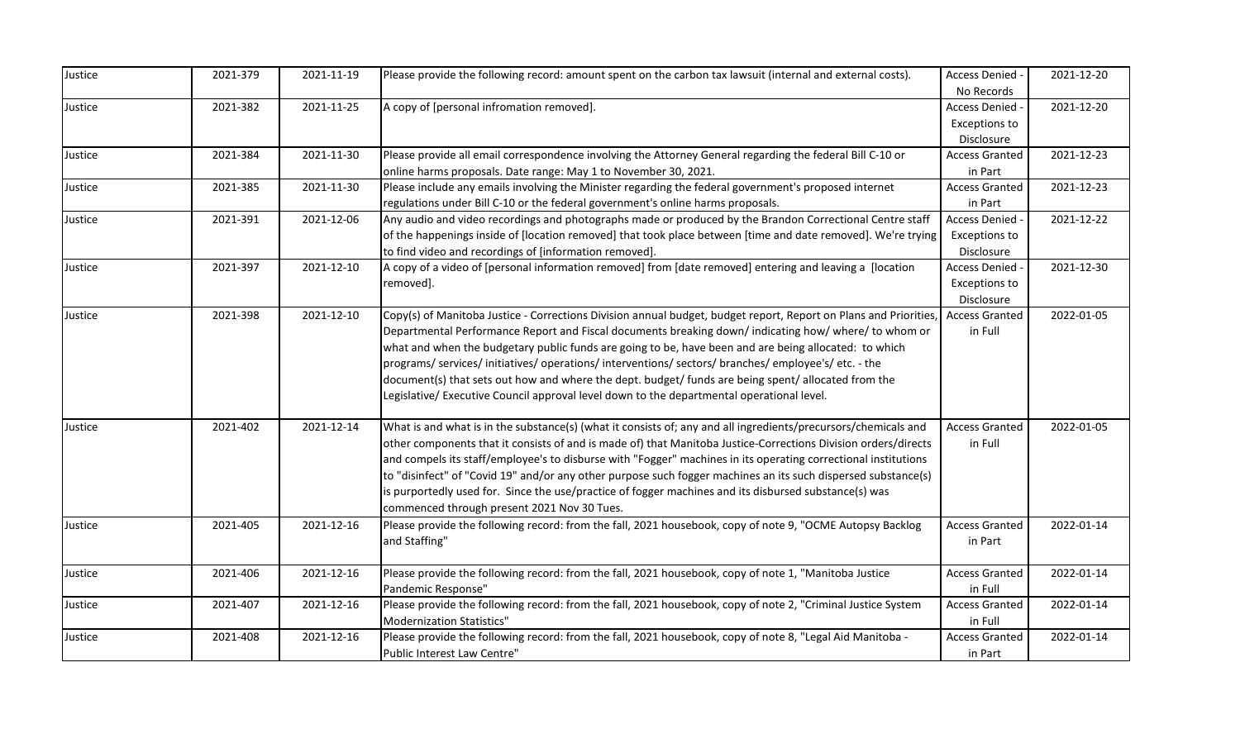| Justice | 2021-379 | 2021-11-19 | Please provide the following record: amount spent on the carbon tax lawsuit (internal and external costs).                                                                                                                                                                                                                                                                                                                                                                                                                                                                                                                              | Access Denied -<br>No Records                         | 2021-12-20 |
|---------|----------|------------|-----------------------------------------------------------------------------------------------------------------------------------------------------------------------------------------------------------------------------------------------------------------------------------------------------------------------------------------------------------------------------------------------------------------------------------------------------------------------------------------------------------------------------------------------------------------------------------------------------------------------------------------|-------------------------------------------------------|------------|
| Justice | 2021-382 | 2021-11-25 | A copy of [personal infromation removed].                                                                                                                                                                                                                                                                                                                                                                                                                                                                                                                                                                                               | Access Denied<br><b>Exceptions to</b><br>Disclosure   | 2021-12-20 |
| Justice | 2021-384 | 2021-11-30 | Please provide all email correspondence involving the Attorney General regarding the federal Bill C-10 or<br>online harms proposals. Date range: May 1 to November 30, 2021.                                                                                                                                                                                                                                                                                                                                                                                                                                                            | <b>Access Granted</b><br>in Part                      | 2021-12-23 |
| Justice | 2021-385 | 2021-11-30 | Please include any emails involving the Minister regarding the federal government's proposed internet<br>regulations under Bill C-10 or the federal government's online harms proposals.                                                                                                                                                                                                                                                                                                                                                                                                                                                | <b>Access Granted</b><br>in Part                      | 2021-12-23 |
| Justice | 2021-391 | 2021-12-06 | Any audio and video recordings and photographs made or produced by the Brandon Correctional Centre staff<br>of the happenings inside of [location removed] that took place between [time and date removed]. We're trying<br>to find video and recordings of [information removed].                                                                                                                                                                                                                                                                                                                                                      | Access Denied -<br><b>Exceptions to</b><br>Disclosure | 2021-12-22 |
| Justice | 2021-397 | 2021-12-10 | A copy of a video of [personal information removed] from [date removed] entering and leaving a [location<br>removed].                                                                                                                                                                                                                                                                                                                                                                                                                                                                                                                   | Access Denied -<br><b>Exceptions to</b><br>Disclosure | 2021-12-30 |
| Justice | 2021-398 | 2021-12-10 | Copy(s) of Manitoba Justice - Corrections Division annual budget, budget report, Report on Plans and Priorities,<br>Departmental Performance Report and Fiscal documents breaking down/ indicating how/ where/ to whom or<br>what and when the budgetary public funds are going to be, have been and are being allocated: to which<br>programs/services/initiatives/operations/interventions/sectors/branches/employee's/etc. - the<br>document(s) that sets out how and where the dept. budget/ funds are being spent/ allocated from the<br>Legislative/ Executive Council approval level down to the departmental operational level. | <b>Access Granted</b><br>in Full                      | 2022-01-05 |
| Justice | 2021-402 | 2021-12-14 | What is and what is in the substance(s) (what it consists of; any and all ingredients/precursors/chemicals and<br>other components that it consists of and is made of) that Manitoba Justice-Corrections Division orders/directs<br>and compels its staff/employee's to disburse with "Fogger" machines in its operating correctional institutions<br>to "disinfect" of "Covid 19" and/or any other purpose such fogger machines an its such dispersed substance(s)<br>is purportedly used for. Since the use/practice of fogger machines and its disbursed substance(s) was<br>commenced through present 2021 Nov 30 Tues.             | <b>Access Granted</b><br>in Full                      | 2022-01-05 |
| Justice | 2021-405 | 2021-12-16 | Please provide the following record: from the fall, 2021 housebook, copy of note 9, "OCME Autopsy Backlog<br>and Staffing"                                                                                                                                                                                                                                                                                                                                                                                                                                                                                                              | <b>Access Granted</b><br>in Part                      | 2022-01-14 |
| Justice | 2021-406 | 2021-12-16 | Please provide the following record: from the fall, 2021 housebook, copy of note 1, "Manitoba Justice<br>Pandemic Response"                                                                                                                                                                                                                                                                                                                                                                                                                                                                                                             | <b>Access Granted</b><br>in Full                      | 2022-01-14 |
| Justice | 2021-407 | 2021-12-16 | Please provide the following record: from the fall, 2021 housebook, copy of note 2, "Criminal Justice System<br>Modernization Statistics"                                                                                                                                                                                                                                                                                                                                                                                                                                                                                               | <b>Access Granted</b><br>in Full                      | 2022-01-14 |
| Justice | 2021-408 | 2021-12-16 | Please provide the following record: from the fall, 2021 housebook, copy of note 8, "Legal Aid Manitoba -<br>Public Interest Law Centre"                                                                                                                                                                                                                                                                                                                                                                                                                                                                                                | <b>Access Granted</b><br>in Part                      | 2022-01-14 |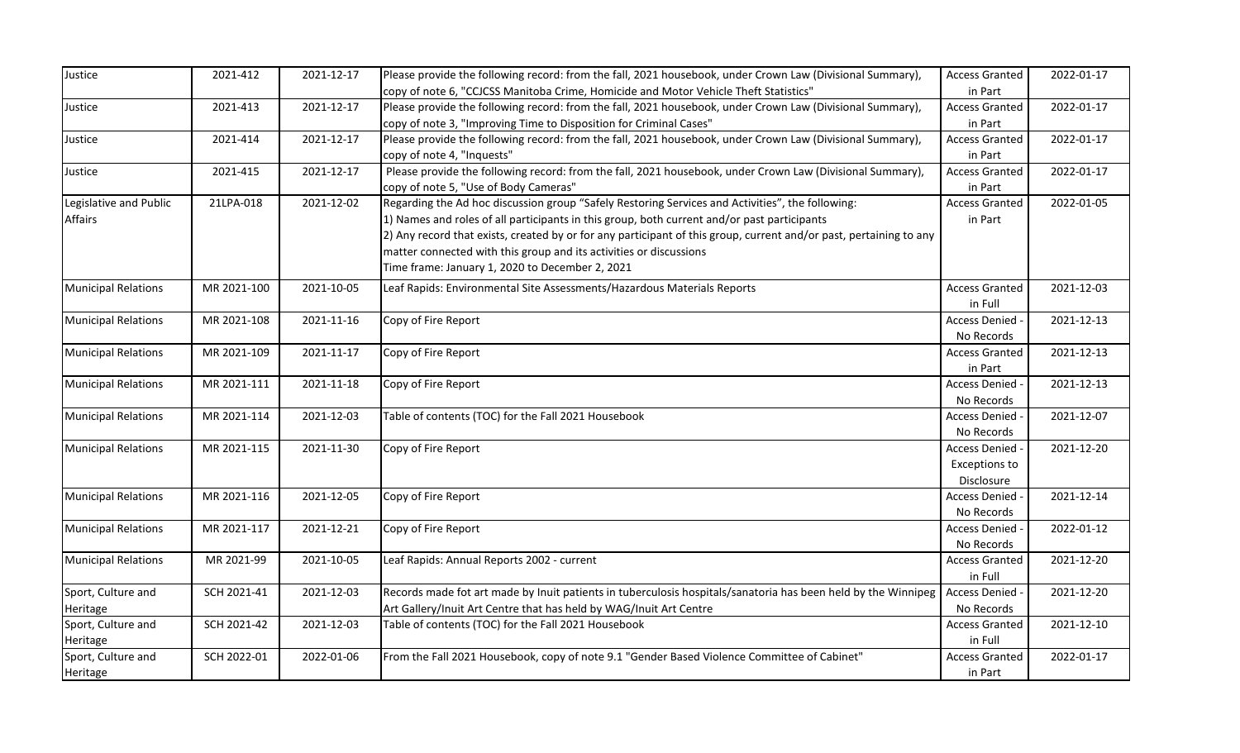| Justice                    | 2021-412    | 2021-12-17 | Please provide the following record: from the fall, 2021 housebook, under Crown Law (Divisional Summary),          | <b>Access Granted</b> | 2022-01-17 |
|----------------------------|-------------|------------|--------------------------------------------------------------------------------------------------------------------|-----------------------|------------|
|                            |             |            | copy of note 6, "CCJCSS Manitoba Crime, Homicide and Motor Vehicle Theft Statistics"                               | in Part               |            |
| Justice                    | 2021-413    | 2021-12-17 | Please provide the following record: from the fall, 2021 housebook, under Crown Law (Divisional Summary),          | <b>Access Granted</b> | 2022-01-17 |
|                            |             |            | copy of note 3, "Improving Time to Disposition for Criminal Cases"                                                 | in Part               |            |
| Justice                    | 2021-414    | 2021-12-17 | Please provide the following record: from the fall, 2021 housebook, under Crown Law (Divisional Summary),          | <b>Access Granted</b> | 2022-01-17 |
|                            |             |            | copy of note 4, "Inquests"                                                                                         | in Part               |            |
| Justice                    | 2021-415    | 2021-12-17 | Please provide the following record: from the fall, 2021 housebook, under Crown Law (Divisional Summary),          | <b>Access Granted</b> | 2022-01-17 |
|                            |             |            | copy of note 5, "Use of Body Cameras"                                                                              | in Part               |            |
| Legislative and Public     | 21LPA-018   | 2021-12-02 | Regarding the Ad hoc discussion group "Safely Restoring Services and Activities", the following:                   | <b>Access Granted</b> | 2022-01-05 |
| <b>Affairs</b>             |             |            | 1) Names and roles of all participants in this group, both current and/or past participants                        | in Part               |            |
|                            |             |            | 2) Any record that exists, created by or for any participant of this group, current and/or past, pertaining to any |                       |            |
|                            |             |            | matter connected with this group and its activities or discussions                                                 |                       |            |
|                            |             |            | Time frame: January 1, 2020 to December 2, 2021                                                                    |                       |            |
| <b>Municipal Relations</b> | MR 2021-100 | 2021-10-05 | Leaf Rapids: Environmental Site Assessments/Hazardous Materials Reports                                            | <b>Access Granted</b> | 2021-12-03 |
|                            |             |            |                                                                                                                    | in Full               |            |
| <b>Municipal Relations</b> | MR 2021-108 | 2021-11-16 | Copy of Fire Report                                                                                                | Access Denied -       | 2021-12-13 |
|                            |             |            |                                                                                                                    | No Records            |            |
| <b>Municipal Relations</b> | MR 2021-109 | 2021-11-17 | Copy of Fire Report                                                                                                | <b>Access Granted</b> | 2021-12-13 |
|                            |             |            |                                                                                                                    | in Part               |            |
| <b>Municipal Relations</b> | MR 2021-111 | 2021-11-18 | Copy of Fire Report                                                                                                | Access Denied -       | 2021-12-13 |
|                            |             |            |                                                                                                                    | No Records            |            |
| <b>Municipal Relations</b> | MR 2021-114 | 2021-12-03 | Table of contents (TOC) for the Fall 2021 Housebook                                                                | Access Denied -       | 2021-12-07 |
|                            |             |            |                                                                                                                    | No Records            |            |
| <b>Municipal Relations</b> | MR 2021-115 | 2021-11-30 | Copy of Fire Report                                                                                                | Access Denied -       | 2021-12-20 |
|                            |             |            |                                                                                                                    | <b>Exceptions to</b>  |            |
|                            |             |            |                                                                                                                    | Disclosure            |            |
| <b>Municipal Relations</b> | MR 2021-116 | 2021-12-05 | Copy of Fire Report                                                                                                | Access Denied -       | 2021-12-14 |
|                            |             |            |                                                                                                                    | No Records            |            |
| <b>Municipal Relations</b> | MR 2021-117 | 2021-12-21 | Copy of Fire Report                                                                                                | Access Denied -       | 2022-01-12 |
|                            |             |            |                                                                                                                    | No Records            |            |
| <b>Municipal Relations</b> | MR 2021-99  | 2021-10-05 | Leaf Rapids: Annual Reports 2002 - current                                                                         | <b>Access Granted</b> | 2021-12-20 |
|                            |             |            |                                                                                                                    | in Full               |            |
| Sport, Culture and         | SCH 2021-41 | 2021-12-03 | Records made fot art made by Inuit patients in tuberculosis hospitals/sanatoria has been held by the Winnipeg      | Access Denied -       | 2021-12-20 |
| Heritage                   |             |            | Art Gallery/Inuit Art Centre that has held by WAG/Inuit Art Centre                                                 | No Records            |            |
| Sport, Culture and         | SCH 2021-42 | 2021-12-03 | Table of contents (TOC) for the Fall 2021 Housebook                                                                | <b>Access Granted</b> | 2021-12-10 |
| Heritage                   |             |            |                                                                                                                    | in Full               |            |
| Sport, Culture and         | SCH 2022-01 | 2022-01-06 | From the Fall 2021 Housebook, copy of note 9.1 "Gender Based Violence Committee of Cabinet"                        | <b>Access Granted</b> | 2022-01-17 |
| Heritage                   |             |            |                                                                                                                    | in Part               |            |